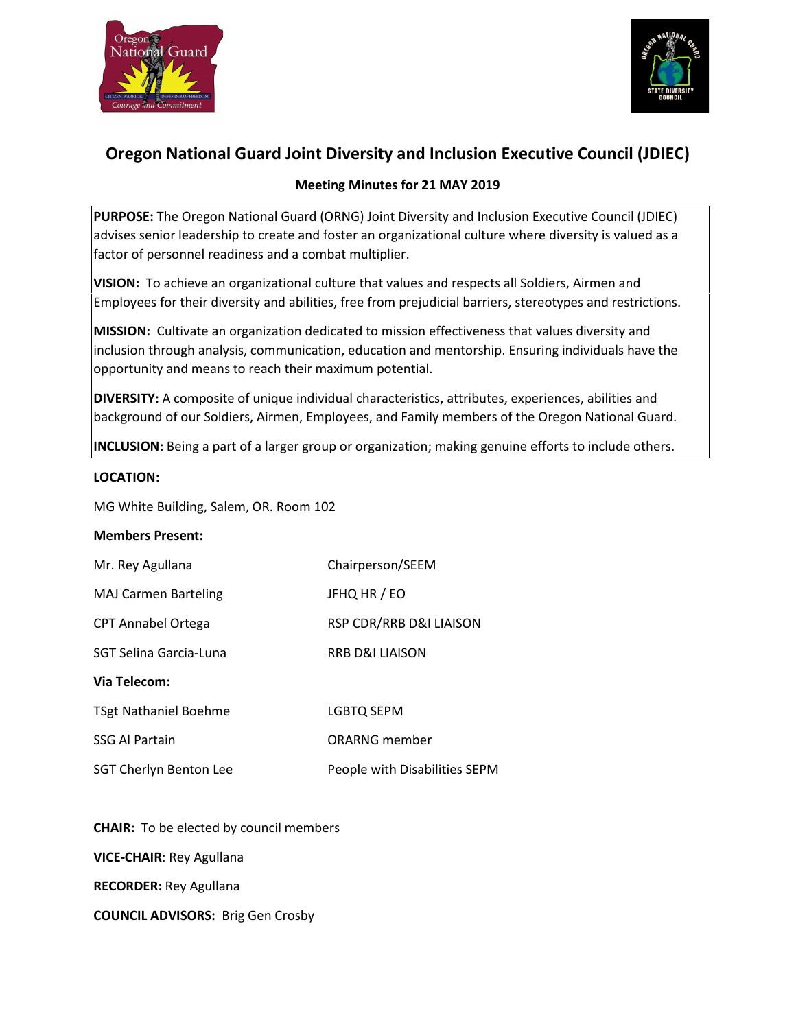



# **Oregon National Guard Joint Diversity and Inclusion Executive Council (JDIEC)**

# **Meeting Minutes for 21 MAY 2019**

**PURPOSE:** The Oregon National Guard (ORNG) Joint Diversity and Inclusion Executive Council (JDIEC) advises senior leadership to create and foster an organizational culture where diversity is valued as a factor of personnel readiness and a combat multiplier.

**VISION:** To achieve an organizational culture that values and respects all Soldiers, Airmen and Employees for their diversity and abilities, free from prejudicial barriers, stereotypes and restrictions.

**MISSION:** Cultivate an organization dedicated to mission effectiveness that values diversity and inclusion through analysis, communication, education and mentorship. Ensuring individuals have the opportunity and means to reach their maximum potential.

**DIVERSITY:** A composite of unique individual characteristics, attributes, experiences, abilities and background of our Soldiers, Airmen, Employees, and Family members of the Oregon National Guard.

**INCLUSION:** Being a part of a larger group or organization; making genuine efforts to include others.

#### **LOCATION:**

MG White Building, Salem, OR. Room 102

#### **Members Present:**

| Mr. Rey Agullana             | Chairperson/SEEM              |
|------------------------------|-------------------------------|
| <b>MAJ Carmen Barteling</b>  | JFHQ HR / EO                  |
| <b>CPT Annabel Ortega</b>    | RSP CDR/RRB D&I LIAISON       |
| SGT Selina Garcia-Luna       | <b>RRB D&amp;I LIAISON</b>    |
| Via Telecom:                 |                               |
| <b>TSgt Nathaniel Boehme</b> | LGBTQ SEPM                    |
| <b>SSG Al Partain</b>        | ORARNG member                 |
| SGT Cherlyn Benton Lee       | People with Disabilities SEPM |

**CHAIR:** To be elected by council members **VICE-CHAIR**: Rey Agullana **RECORDER:** Rey Agullana **COUNCIL ADVISORS:** Brig Gen Crosby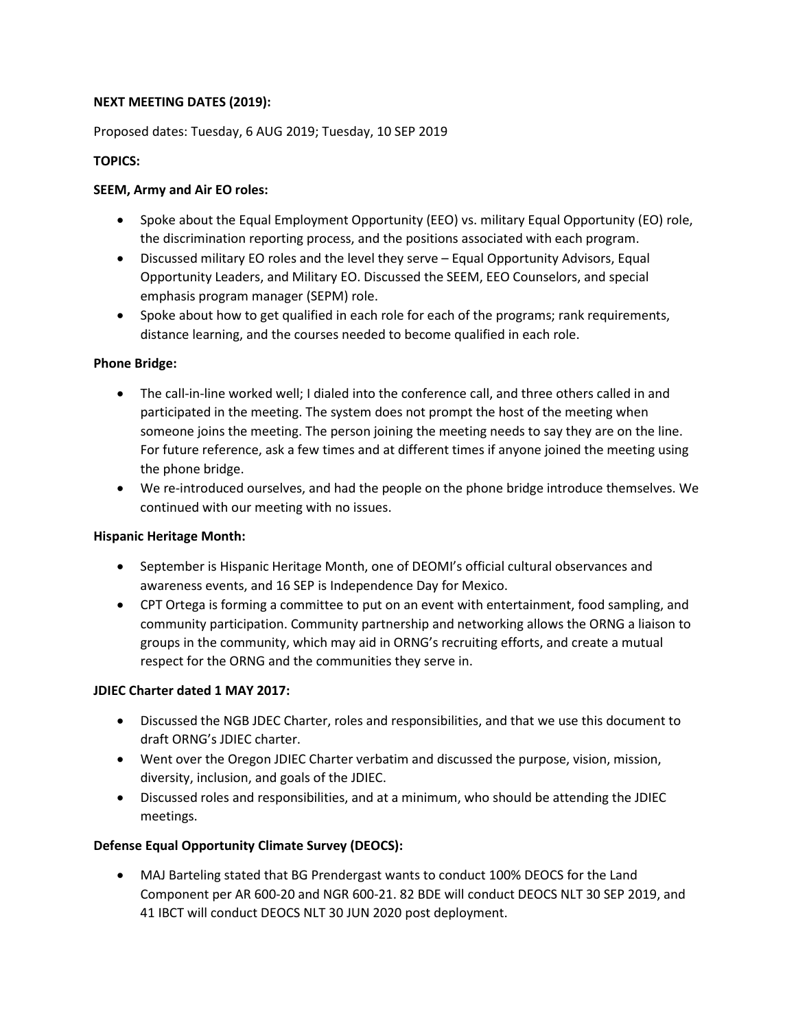## **NEXT MEETING DATES (2019):**

Proposed dates: Tuesday, 6 AUG 2019; Tuesday, 10 SEP 2019

## **TOPICS:**

## **SEEM, Army and Air EO roles:**

- Spoke about the Equal Employment Opportunity (EEO) vs. military Equal Opportunity (EO) role, the discrimination reporting process, and the positions associated with each program.
- Discussed military EO roles and the level they serve Equal Opportunity Advisors, Equal Opportunity Leaders, and Military EO. Discussed the SEEM, EEO Counselors, and special emphasis program manager (SEPM) role.
- Spoke about how to get qualified in each role for each of the programs; rank requirements, distance learning, and the courses needed to become qualified in each role.

#### **Phone Bridge:**

- The call-in-line worked well; I dialed into the conference call, and three others called in and participated in the meeting. The system does not prompt the host of the meeting when someone joins the meeting. The person joining the meeting needs to say they are on the line. For future reference, ask a few times and at different times if anyone joined the meeting using the phone bridge.
- We re-introduced ourselves, and had the people on the phone bridge introduce themselves. We continued with our meeting with no issues.

#### **Hispanic Heritage Month:**

- September is Hispanic Heritage Month, one of DEOMI's official cultural observances and awareness events, and 16 SEP is Independence Day for Mexico.
- CPT Ortega is forming a committee to put on an event with entertainment, food sampling, and community participation. Community partnership and networking allows the ORNG a liaison to groups in the community, which may aid in ORNG's recruiting efforts, and create a mutual respect for the ORNG and the communities they serve in.

#### **JDIEC Charter dated 1 MAY 2017:**

- Discussed the NGB JDEC Charter, roles and responsibilities, and that we use this document to draft ORNG's JDIEC charter.
- Went over the Oregon JDIEC Charter verbatim and discussed the purpose, vision, mission, diversity, inclusion, and goals of the JDIEC.
- Discussed roles and responsibilities, and at a minimum, who should be attending the JDIEC meetings.

## **Defense Equal Opportunity Climate Survey (DEOCS):**

• MAJ Barteling stated that BG Prendergast wants to conduct 100% DEOCS for the Land Component per AR 600-20 and NGR 600-21. 82 BDE will conduct DEOCS NLT 30 SEP 2019, and 41 IBCT will conduct DEOCS NLT 30 JUN 2020 post deployment.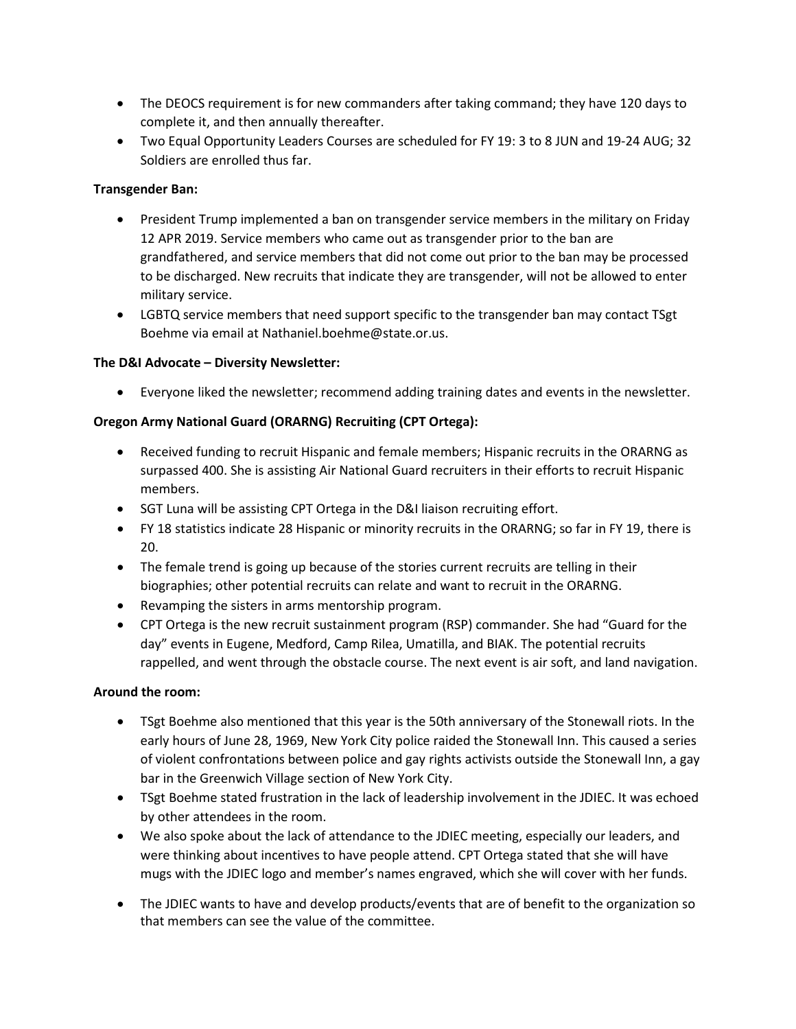- The DEOCS requirement is for new commanders after taking command; they have 120 days to complete it, and then annually thereafter.
- Two Equal Opportunity Leaders Courses are scheduled for FY 19: 3 to 8 JUN and 19-24 AUG; 32 Soldiers are enrolled thus far.

## **Transgender Ban:**

- President Trump implemented a ban on transgender service members in the military on Friday 12 APR 2019. Service members who came out as transgender prior to the ban are grandfathered, and service members that did not come out prior to the ban may be processed to be discharged. New recruits that indicate they are transgender, will not be allowed to enter military service.
- LGBTQ service members that need support specific to the transgender ban may contact TSgt Boehme via email at Nathaniel.boehme@state.or.us.

#### **The D&I Advocate – Diversity Newsletter:**

• Everyone liked the newsletter; recommend adding training dates and events in the newsletter.

## **Oregon Army National Guard (ORARNG) Recruiting (CPT Ortega):**

- Received funding to recruit Hispanic and female members; Hispanic recruits in the ORARNG as surpassed 400. She is assisting Air National Guard recruiters in their efforts to recruit Hispanic members.
- SGT Luna will be assisting CPT Ortega in the D&I liaison recruiting effort.
- FY 18 statistics indicate 28 Hispanic or minority recruits in the ORARNG; so far in FY 19, there is 20.
- The female trend is going up because of the stories current recruits are telling in their biographies; other potential recruits can relate and want to recruit in the ORARNG.
- Revamping the sisters in arms mentorship program.
- CPT Ortega is the new recruit sustainment program (RSP) commander. She had "Guard for the day" events in Eugene, Medford, Camp Rilea, Umatilla, and BIAK. The potential recruits rappelled, and went through the obstacle course. The next event is air soft, and land navigation.

#### **Around the room:**

- TSgt Boehme also mentioned that this year is the 50th anniversary of the Stonewall riots. In the early hours of June 28, 1969, New York City police raided the Stonewall Inn. This caused a series of violent confrontations between police and gay rights activists outside the Stonewall Inn, a gay bar in the Greenwich Village section of New York City.
- TSgt Boehme stated frustration in the lack of leadership involvement in the JDIEC. It was echoed by other attendees in the room.
- We also spoke about the lack of attendance to the JDIEC meeting, especially our leaders, and were thinking about incentives to have people attend. CPT Ortega stated that she will have mugs with the JDIEC logo and member's names engraved, which she will cover with her funds.
- The JDIEC wants to have and develop products/events that are of benefit to the organization so that members can see the value of the committee.